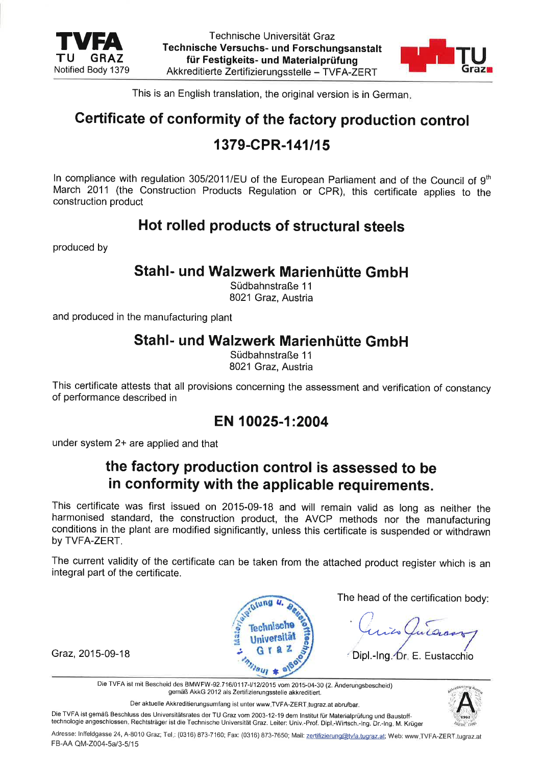

Technische Universität Graz Technische Versuchs- und Forschungsanstalt für Festigkeits- und Materialprüfung Akkreditierte Zertifizierungsstelle - TVFA-ZERT



This is an English translation, the original version is in German

# certificate of conformity of the factory production control

# 1379-CPR-141/15

In compliance with regulation 305/2011/EU of the European Parliament and of the Council of  $9<sup>th</sup>$ March 2011 (the Construction Products Regulation or CPR), this certificate applies to the construction product

## Hot rolled products of structural steels

produced by

#### Stahl- und Walzwerk Marienhütte GmbH

Südbahnstraße 11 8021 Graz, Austria

and produced in the manufacturing plant

#### Stahl- und Walzwerk Marienhütte GmbH

Südbahnstraße 11 8021 Graz. Austria

This certificate attests that all provisions concerning the assessment and verification of constancy of performance described in

#### EN 10025-1:2004

under system 2+ are applied and that

## the factory production control is assessed to be in conformity with the applicable requirements.

This certificate was first issued on 2015-09-18 and will remain valid as long as neither the harmonised standard, the construction product, the AVCP methods nor the manufacturing conditions in the plant are modified significantly, unless this certificate is suspended or withdrawn by TVFA-ZERT.

The current validity of the certificate can be taken from the attached product register which is an integral part of the certificate.



The head of the certification body:

Graz, 2015-09-18 <sup>2</sup> Graz, <sup>2015-09-18 <sup>2</sup> Graz, <sup>2016</sup> <sup>2</sup> Dipl.-lng Dr. E. Eustacchio</sup>

Die TVFA ist mit Bescheid des BMWFW-92.716/0117-l/12/2015 vom 2015-04-30 (2. Änderungsbescheid) gemäß AkkG 2012 als Zerlilizierungsstelle akkreditiert.

Der aktuelle Akkreditierungsumfang ist unter www TVFA-ZERT tugraz.at abrufbar.

Die TVFA ist gemäß Beschluss des Universitätsrates der TU Graz vom 2003-12-19 dem Institut für Materialprüfung und Baustofftechnologie angeschlossen. Rechtsträger ist die Technische Universität Graz. Leiter: Univ.-Prof. Dipl.-Wirtsch.-lng. Dr.-lng. M. Krüger



Adresse: Inffeldgasse 24, A-8010 Graz; Tel.: (0316) 873-7160; Fax: (0316) 873-7650; Mail: zertifizierung@tvfa.tugraz.at; Web: www.TVFA-ZERT.tugraz.at FB-AA QM-Z004-5a/3-5/15